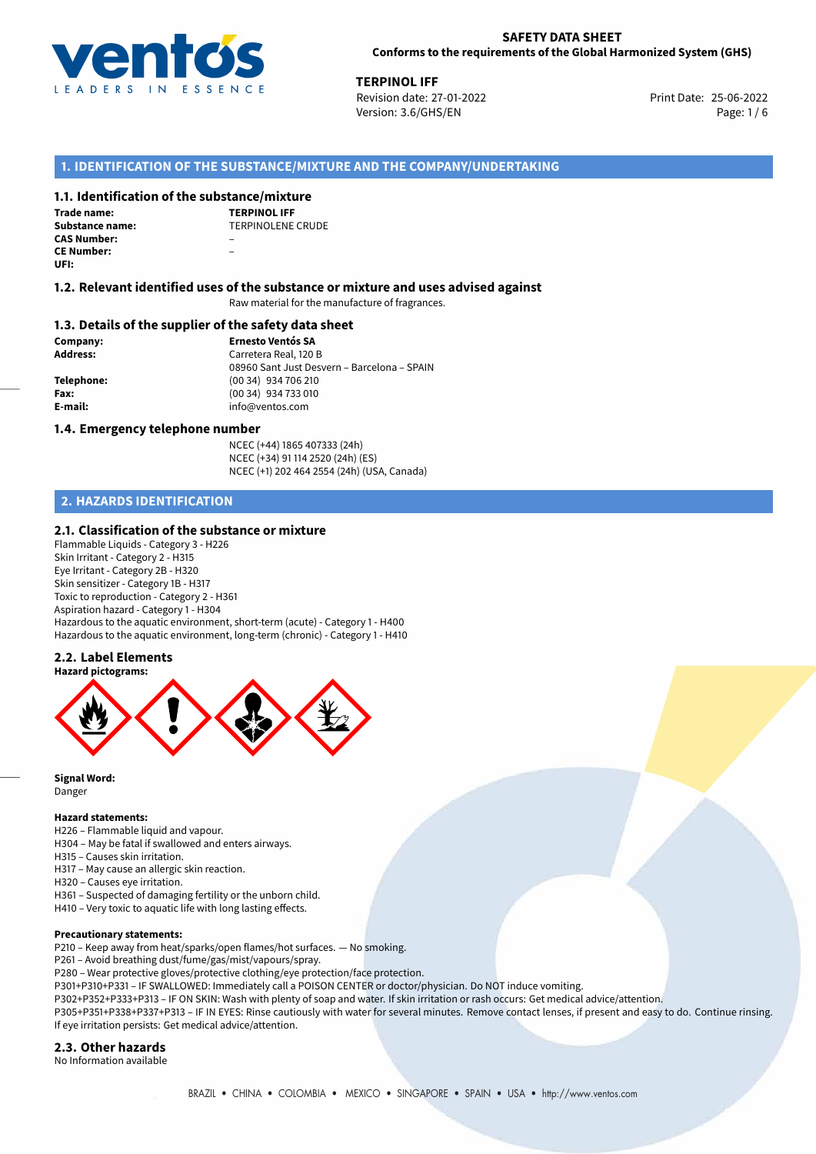

**TERPINOL IFF**<br>
25-06-2022 **Revision date: 27-01-2022** Print Date: 25-06-2022 Version: 3.6/GHS/EN Page: 1/6

## **1. IDENTIFICATION OF THE SUBSTANCE/MIXTURE AND THE COMPANY/UNDERTAKING**

## **1.1. Identification of the substance/mixture**

**Trade name: CAS Number:** – **CE Number:** – **UFI:**

**TERPINOL IFF Substance name:** TERPINOLENE CRUDE

## **1.2. Relevant identified uses of the substance or mixture and uses advised against**

Raw material for the manufacture of fragrances.

## **1.3. Details of the supplier of the safety data sheet**

**Company: Ernesto Ventós SA Address:** Carretera Real, 120 B 08960 Sant Just Desvern – Barcelona – SPAIN **Telephone:** (00 34) 934 706 210 **Fax:** (00 34) 934 733 010 **E-mail:** info@ventos.com

#### **1.4. Emergency telephone number**

NCEC (+44) 1865 407333 (24h) NCEC (+34) 91 114 2520 (24h) (ES) NCEC (+1) 202 464 2554 (24h) (USA, Canada)

## **2. HAZARDS IDENTIFICATION**

## **2.1. Classification of the substance or mixture**

Flammable Liquids - Category 3 - H226 Skin Irritant - Category 2 - H315 Eye Irritant - Category 2B - H320 Skin sensitizer - Category 1B - H317 Toxic to reproduction - Category 2 - H361 Aspiration hazard - Category 1 - H304 Hazardous to the aquatic environment, short-term (acute) - Category 1 - H400 Hazardous to the aquatic environment, long-term (chronic) - Category 1 - H410

## **2.2. Label Elements**



**Signal Word:** Danger

#### **Hazard statements:**

- H226 Flammable liquid and vapour.
- H304 May be fatal if swallowed and enters airways.
- H315 Causes skin irritation.
- H317 May cause an allergic skin reaction.
- H320 Causes eye irritation.
- H361 Suspected of damaging fertility or the unborn child. H410 – Very toxic to aquatic life with long lasting effects.

## **Precautionary statements:**

P210 – Keep away from heat/sparks/open flames/hot surfaces. — No smoking.

P261 – Avoid breathing dust/fume/gas/mist/vapours/spray.

- P280 Wear protective gloves/protective clothing/eye protection/face protection.
- P301+P310+P331 IF SWALLOWED: Immediately call a POISON CENTER or doctor/physician. Do NOT induce vomiting.
- P302+P352+P333+P313 IF ON SKIN: Wash with plenty of soap and water. If skin irritation or rash occurs: Get medical advice/attention.

P305+P351+P338+P337+P313 – IF IN EYES: Rinse cautiously with water for several minutes. Remove contact lenses, if present and easy to do. Continue rinsing. If eye irritation persists: Get medical advice/attention.

## **2.3. Other hazards**

No Information available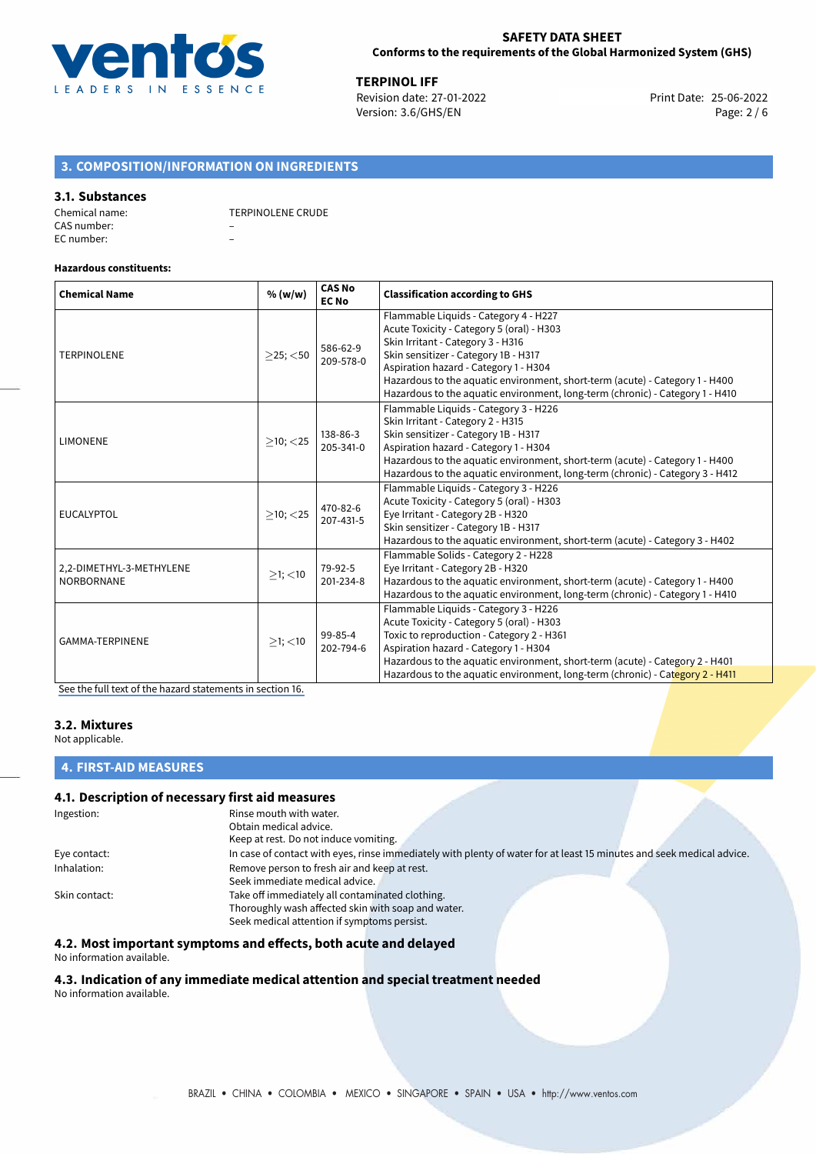

**TERPINOL IFF**<br>
Revision date: 27-01-2022 **Accord Print Date: 25-06-2022** Version: 3.6/GHS/EN Page: 2 / 6

## **3. COMPOSITION/INFORMATION ON INGREDIENTS**

## **3.1. Substances**

Chemical name: TERPINOLENE CRUDE CAS number: – EC number: –

# **Hazardous constituents:**

| <b>Chemical Name</b>                          | % (w/w)        | <b>CAS No</b><br><b>EC No</b> | <b>Classification according to GHS</b>                                                                                                                                                                                                                                                                                                                                    |
|-----------------------------------------------|----------------|-------------------------------|---------------------------------------------------------------------------------------------------------------------------------------------------------------------------------------------------------------------------------------------------------------------------------------------------------------------------------------------------------------------------|
| <b>TERPINOLENE</b>                            | $>25$ ; $<$ 50 | 586-62-9<br>209-578-0         | Flammable Liquids - Category 4 - H227<br>Acute Toxicity - Category 5 (oral) - H303<br>Skin Irritant - Category 3 - H316<br>Skin sensitizer - Category 1B - H317<br>Aspiration hazard - Category 1 - H304<br>Hazardous to the aquatic environment, short-term (acute) - Category 1 - H400<br>Hazardous to the aquatic environment, long-term (chronic) - Category 1 - H410 |
| <b>LIMONENE</b>                               | $>10$ ; $<$ 25 | 138-86-3<br>205-341-0         | Flammable Liquids - Category 3 - H226<br>Skin Irritant - Category 2 - H315<br>Skin sensitizer - Category 1B - H317<br>Aspiration hazard - Category 1 - H304<br>Hazardous to the aquatic environment, short-term (acute) - Category 1 - H400<br>Hazardous to the aquatic environment, long-term (chronic) - Category 3 - H412                                              |
| <b>EUCALYPTOL</b>                             | $>10$ ; $<$ 25 | 470-82-6<br>207-431-5         | Flammable Liquids - Category 3 - H226<br>Acute Toxicity - Category 5 (oral) - H303<br>Eye Irritant - Category 2B - H320<br>Skin sensitizer - Category 1B - H317<br>Hazardous to the aquatic environment, short-term (acute) - Category 3 - H402                                                                                                                           |
| 2,2-DIMETHYL-3-METHYLENE<br><b>NORBORNANE</b> | $>1$ ; <10     | 79-92-5<br>201-234-8          | Flammable Solids - Category 2 - H228<br>Eye Irritant - Category 2B - H320<br>Hazardous to the aquatic environment, short-term (acute) - Category 1 - H400<br>Hazardous to the aquatic environment, long-term (chronic) - Category 1 - H410                                                                                                                                |
| GAMMA-TERPINENE                               | $>1$ ; <10     | 99-85-4<br>202-794-6          | Flammable Liquids - Category 3 - H226<br>Acute Toxicity - Category 5 (oral) - H303<br>Toxic to reproduction - Category 2 - H361<br>Aspiration hazard - Category 1 - H304<br>Hazardous to the aquatic environment, short-term (acute) - Category 2 - H401<br>Hazardous to the aquatic environment, long-term (chronic) - Category 2 - H411                                 |

[See the full text of the hazard statements in section 16.](#page-4-0)

## **3.2. Mixtures**

Not applicable.

## **4. FIRST-AID MEASURES**

## **4.1. Description of necessary first aid measures**

| Rinse mouth with water.                                                                                               |
|-----------------------------------------------------------------------------------------------------------------------|
| Obtain medical advice.                                                                                                |
| Keep at rest. Do not induce vomiting.                                                                                 |
| In case of contact with eyes, rinse immediately with plenty of water for at least 15 minutes and seek medical advice. |
| Remove person to fresh air and keep at rest.                                                                          |
| Seek immediate medical advice.                                                                                        |
| Take off immediately all contaminated clothing.                                                                       |
| Thoroughly wash affected skin with soap and water.                                                                    |
| Seek medical attention if symptoms persist.                                                                           |
|                                                                                                                       |

## **4.2. Most important symptoms and effects, both acute and delayed**

No information available.

## **4.3. Indication of any immediate medical attention and special treatment needed**

No information available.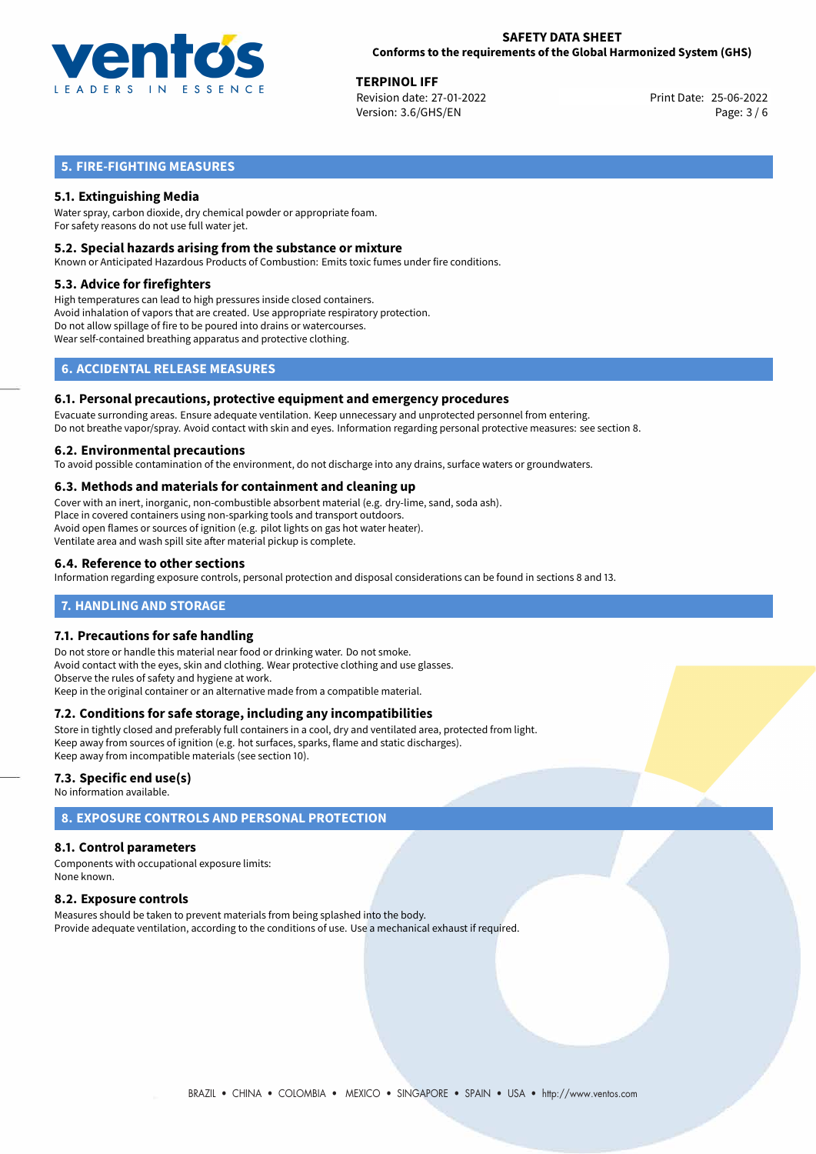

**TERPINOL IFF**<br>
Revision date: 27-01-2022 **Accord Print Date: 25-06-2022** Version: 3.6/GHS/EN Page: 3 / 6

## **5. FIRE-FIGHTING MEASURES**

## **5.1. Extinguishing Media**

Water spray, carbon dioxide, dry chemical powder or appropriate foam. For safety reasons do not use full water jet.

## **5.2. Special hazards arising from the substance or mixture**

Known or Anticipated Hazardous Products of Combustion: Emits toxic fumes under fire conditions.

#### **5.3. Advice for firefighters**

High temperatures can lead to high pressures inside closed containers. Avoid inhalation of vapors that are created. Use appropriate respiratory protection. Do not allow spillage of fire to be poured into drains or watercourses. Wear self-contained breathing apparatus and protective clothing.

## **6. ACCIDENTAL RELEASE MEASURES**

#### **6.1. Personal precautions, protective equipment and emergency procedures**

Evacuate surronding areas. Ensure adequate ventilation. Keep unnecessary and unprotected personnel from entering. Do not breathe vapor/spray. Avoid contact with skin and eyes. Information regarding personal protective measures: see section 8.

#### **6.2. Environmental precautions**

To avoid possible contamination of the environment, do not discharge into any drains, surface waters or groundwaters.

#### **6.3. Methods and materials for containment and cleaning up**

Cover with an inert, inorganic, non-combustible absorbent material (e.g. dry-lime, sand, soda ash). Place in covered containers using non-sparking tools and transport outdoors. Avoid open flames or sources of ignition (e.g. pilot lights on gas hot water heater). Ventilate area and wash spill site after material pickup is complete.

## **6.4. Reference to other sections**

Information regarding exposure controls, personal protection and disposal considerations can be found in sections 8 and 13.

## **7. HANDLING AND STORAGE**

## **7.1. Precautions for safe handling**

Do not store or handle this material near food or drinking water. Do not smoke. Avoid contact with the eyes, skin and clothing. Wear protective clothing and use glasses. Observe the rules of safety and hygiene at work. Keep in the original container or an alternative made from a compatible material.

## **7.2. Conditions for safe storage, including any incompatibilities**

Store in tightly closed and preferably full containers in a cool, dry and ventilated area, protected from light. Keep away from sources of ignition (e.g. hot surfaces, sparks, flame and static discharges). Keep away from incompatible materials (see section 10).

## **7.3. Specific end use(s)**

No information available.

## **8. EXPOSURE CONTROLS AND PERSONAL PROTECTION**

## **8.1. Control parameters**

Components with occupational exposure limits: None known.

## **8.2. Exposure controls**

Measures should be taken to prevent materials from being splashed into the body. Provide adequate ventilation, according to the conditions of use. Use a mechanical exhaust if required.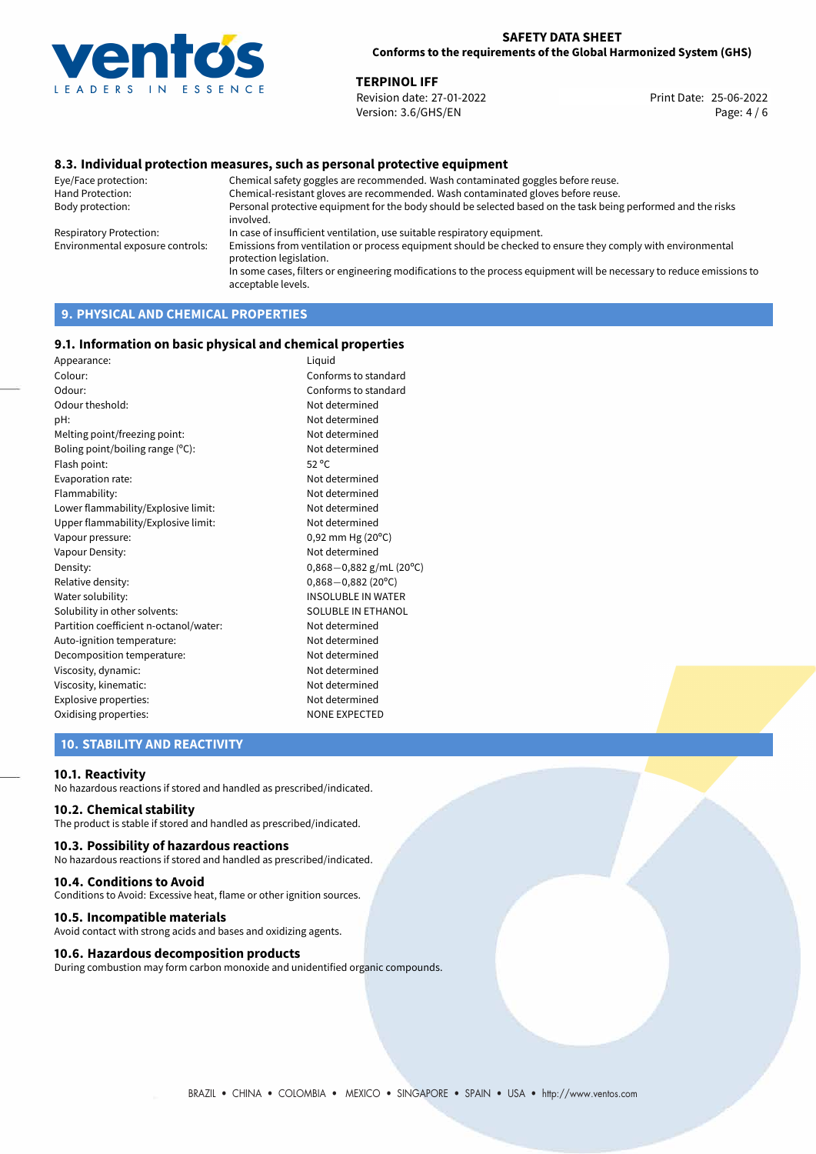

**TERPINOL IFF**<br>
Revision date: 27-01-2022 **The Contract of Contract Print** Date: 25-06-2022 Revision date: 27-01-2022 Version: 3.6/GHS/EN Page: 4 / 6

## **8.3. Individual protection measures, such as personal protective equipment**

Eye/Face protection: Chemical safety goggles are recommended. Wash contaminated goggles before reuse. Chemical-resistant gloves are recommended. Wash contaminated gloves before reuse. Body protection: Personal protective equipment for the body should be selected based on the task being performed and the risks involved. Respiratory Protection: In case of insufficient ventilation, use suitable respiratory equipment. Environmental exposure controls: Emissions from ventilation or process equipment should be checked to ensure they comply with environmental protection legislation. In some cases, filters or engineering modifications to the process equipment will be necessary to reduce emissions to acceptable levels.

## **9. PHYSICAL AND CHEMICAL PROPERTIES**

## **9.1. Information on basic physical and chemical properties**

| Appearance:                            | Liquid                         |
|----------------------------------------|--------------------------------|
| Colour:                                | Conforms to standard           |
| Odour:                                 | Conforms to standard           |
| Odour theshold:                        | Not determined                 |
| pH:                                    | Not determined                 |
| Melting point/freezing point:          | Not determined                 |
| Boling point/boiling range (°C):       | Not determined                 |
| Flash point:                           | $52^{\circ}$ C                 |
| Evaporation rate:                      | Not determined                 |
| Flammability:                          | Not determined                 |
| Lower flammability/Explosive limit:    | Not determined                 |
| Upper flammability/Explosive limit:    | Not determined                 |
| Vapour pressure:                       | $0,92$ mm Hg (20 $^{\circ}$ C) |
| Vapour Density:                        | Not determined                 |
| Density:                               | $0,868 - 0,882$ g/mL (20°C)    |
| Relative density:                      | $0,868 - 0,882(20^{\circ}C)$   |
| Water solubility:                      | <b>INSOLUBLE IN WATER</b>      |
| Solubility in other solvents:          | SOLUBLE IN ETHANOL             |
| Partition coefficient n-octanol/water: | Not determined                 |
| Auto-ignition temperature:             | Not determined                 |
| Decomposition temperature:             | Not determined                 |
| Viscosity, dynamic:                    | Not determined                 |
| Viscosity, kinematic:                  | Not determined                 |
| Explosive properties:                  | Not determined                 |
| Oxidising properties:                  | <b>NONE EXPECTED</b>           |
|                                        |                                |

## **10. STABILITY AND REACTIVITY**

#### **10.1. Reactivity**

No hazardous reactions if stored and handled as prescribed/indicated.

## **10.2. Chemical stability**

The product is stable if stored and handled as prescribed/indicated.

## **10.3. Possibility of hazardous reactions**

No hazardous reactions if stored and handled as prescribed/indicated.

#### **10.4. Conditions to Avoid**

Conditions to Avoid: Excessive heat, flame or other ignition sources.

#### **10.5. Incompatible materials**

Avoid contact with strong acids and bases and oxidizing agents.

### **10.6. Hazardous decomposition products**

During combustion may form carbon monoxide and unidentified organic compounds.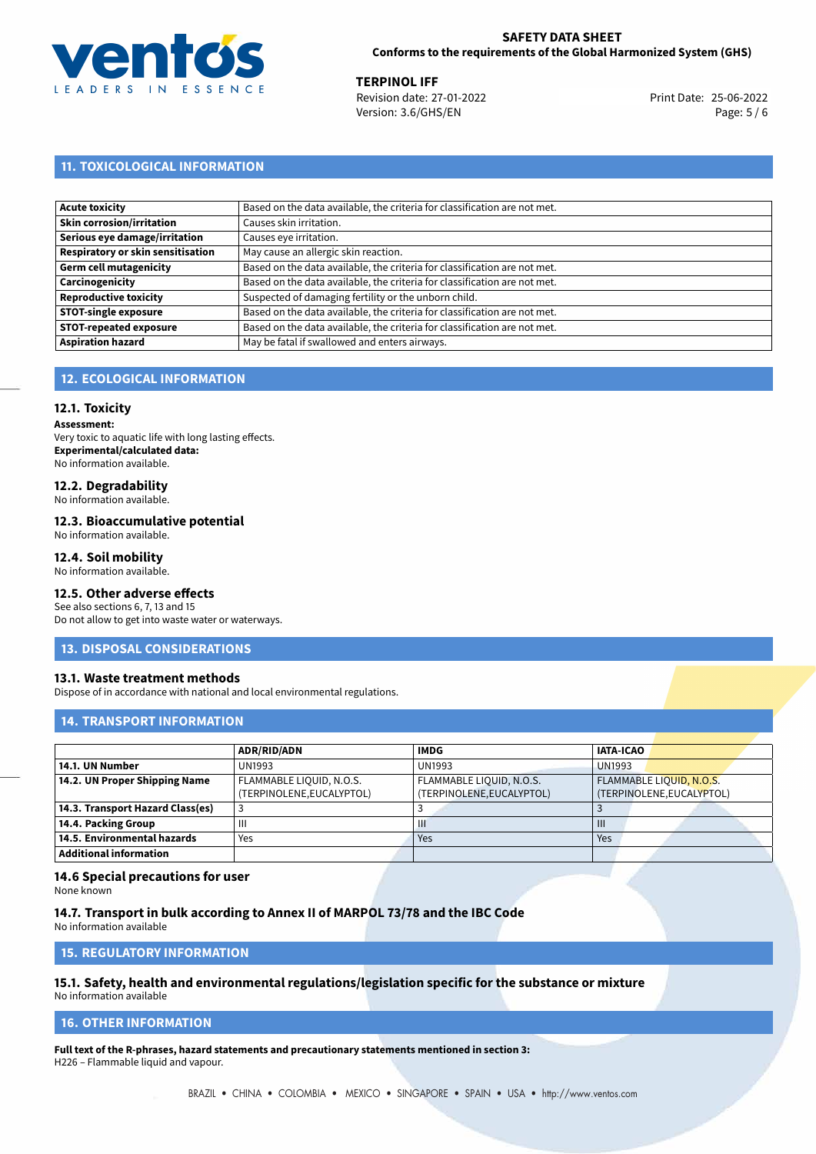

**TERPINOL IFF**<br>
Revision date: 27-01-2022 **Accord Print Date: 25-06-2022** Version: 3.6/GHS/EN Page: 5 / 6

## **11. TOXICOLOGICAL INFORMATION**

| Acute toxicity                           | Based on the data available, the criteria for classification are not met. |
|------------------------------------------|---------------------------------------------------------------------------|
| Skin corrosion/irritation                | Causes skin irritation.                                                   |
| Serious eye damage/irritation            | Causes eye irritation.                                                    |
| <b>Respiratory or skin sensitisation</b> | May cause an allergic skin reaction.                                      |
| Germ cell mutagenicity                   | Based on the data available, the criteria for classification are not met. |
| <b>Carcinogenicity</b>                   | Based on the data available, the criteria for classification are not met. |
| Reproductive toxicity                    | Suspected of damaging fertility or the unborn child.                      |
| <b>STOT-single exposure</b>              | Based on the data available, the criteria for classification are not met. |
| <b>STOT-repeated exposure</b>            | Based on the data available, the criteria for classification are not met. |
| <b>Aspiration hazard</b>                 | May be fatal if swallowed and enters airways.                             |

## **12. ECOLOGICAL INFORMATION**

#### **12.1. Toxicity**

**Assessment:** Very toxic to aquatic life with long lasting effects. **Experimental/calculated data:** No information available.

## **12.2. Degradability**

No information available.

#### **12.3. Bioaccumulative potential**

No information available.

#### **12.4. Soil mobility**

No information available.

## **12.5. Other adverse effects**

See also sections 6, 7, 13 and 15 Do not allow to get into waste water or waterways.

#### **13. DISPOSAL CONSIDERATIONS**

#### **13.1. Waste treatment methods**

Dispose of in accordance with national and local environmental regulations.

## **14. TRANSPORT INFORMATION**

|                                  | <b>ADR/RID/ADN</b>        | <b>IMDG</b>               | <b>IATA-ICAO</b>          |
|----------------------------------|---------------------------|---------------------------|---------------------------|
| 14.1. UN Number                  | <b>UN1993</b>             | <b>UN1993</b>             | <b>UN1993</b>             |
| 14.2. UN Proper Shipping Name    | FLAMMABLE LIQUID, N.O.S.  | FLAMMABLE LIQUID, N.O.S.  | FLAMMABLE LIQUID, N.O.S.  |
|                                  | (TERPINOLENE, EUCALYPTOL) | (TERPINOLENE, EUCALYPTOL) | (TERPINOLENE, EUCALYPTOL) |
| 14.3. Transport Hazard Class(es) |                           |                           |                           |
| 14.4. Packing Group              | Ш                         | Ш                         | $\mathbf{III}$            |
| 14.5. Environmental hazards      | Yes                       | Yes                       | Yes                       |
| <b>Additional information</b>    |                           |                           |                           |

## **14.6 Special precautions for user**

None known

**14.7. Transport in bulk according to Annex II of MARPOL 73/78 and the IBC Code** No information available

**15. REGULATORY INFORMATION**

## **15.1. Safety, health and environmental regulations/legislation specific for the substance or mixture**

No information available

## <span id="page-4-0"></span>**16. OTHER INFORMATION**

**Full text of the R-phrases, hazard statements and precautionary statements mentioned in section 3:** H226 – Flammable liquid and vapour.